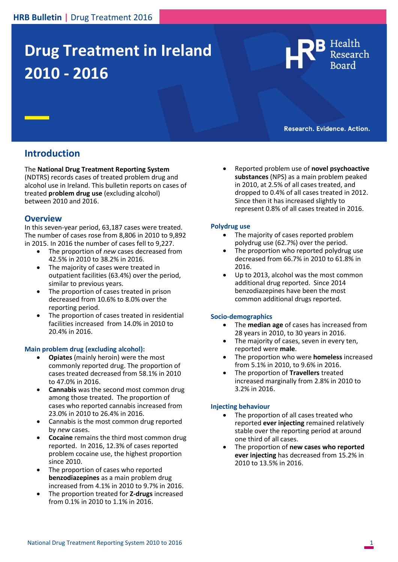# **Drug Treatment in Ireland 2010 - 2016**



Research. Evidence. Action.

# **Introduction**

The **National Drug Treatment Reporting System**

(NDTRS) records cases of treated problem drug and alcohol use in Ireland. This bulletin reports on cases of treated **p**r**oblem drug use** (excluding alcohol) between 2010 and 2016.

## **Overview**

In this seven-year period, 63,187 cases were treated. The number of cases rose from 8,806 in 2010 to 9,892 in 2015. In 2016 the number of cases fell to 9,227.

- The proportion of *new* cases decreased from 42.5% in 2010 to 38.2% in 2016.
- The majority of cases were treated in outpatient facilities (63.4%) over the period, similar to previous years.
- The proportion of cases treated in prison decreased from 10.6% to 8.0% over the reporting period.
- The proportion of cases treated in residential facilities increased from 14.0% in 2010 to 20.4% in 2016.

## **Main problem drug (excluding alcohol):**

- **Opiates** (mainly heroin) were the most commonly reported drug. The proportion of cases treated decreased from 58.1% in 2010 to 47.0% in 2016.
- **Cannabis** was the second most common drug among those treated. The proportion of cases who reported cannabis increased from 23.0% in 2010 to 26.4% in 2016.
- Cannabis is the most common drug reported by *new* cases.
- **Cocaine** remains the third most common drug reported. In 2016, 12.3% of cases reported problem cocaine use, the highest proportion since 2010.
- The proportion of cases who reported **benzodiazepines** as a main problem drug increased from 4.1% in 2010 to 9.7% in 2016.
- The proportion treated for **Z-drugs** increased from 0.1% in 2010 to 1.1% in 2016.

 Reported problem use of **novel psychoactive substances** (NPS) as a main problem peaked in 2010, at 2.5% of all cases treated, and dropped to 0.4% of all cases treated in 2012. Since then it has increased slightly to represent 0.8% of all cases treated in 2016.

#### **Polydrug use**

- The majority of cases reported problem polydrug use (62.7%) over the period.
- The proportion who reported polydrug use decreased from 66.7% in 2010 to 61.8% in 2016.
- Up to 2013, alcohol was the most common additional drug reported. Since 2014 benzodiazepines have been the most common additional drugs reported.

#### **Socio-demographics**

- The **median age** of cases has increased from 28 years in 2010, to 30 years in 2016.
- The majority of cases, seven in every ten, reported were **male**.
- The proportion who were **homeless** increased from 5.1% in 2010, to 9.6% in 2016.
- The proportion of **Travellers** treated increased marginally from 2.8% in 2010 to 3.2% in 2016.

## **Injecting behaviour**

- The proportion of all cases treated who reported **ever injecting** remained relatively stable over the reporting period at around one third of all cases.
- The proportion of **new cases who reported ever injecting** has decreased from 15.2% in 2010 to 13.5% in 2016.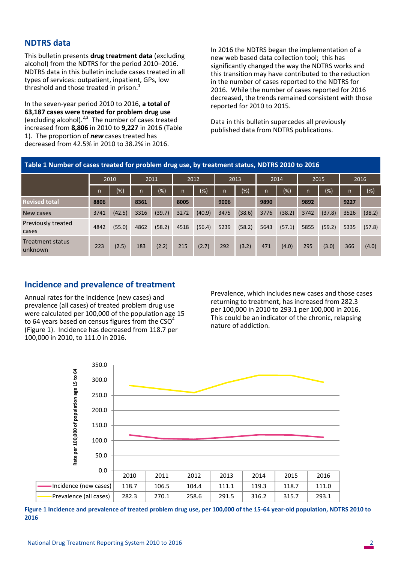## **NDTRS data**

This bulletin presents **drug treatment data** (excluding alcohol) from the NDTRS for the period 2010–2016. NDTRS data in this bulletin include cases treated in all types of services: outpatient, inpatient, GPs, low threshold and those treated in prison.<sup>1</sup>

In the seven-year period 2010 to 2016, **a total of 63,187 cases were treated for problem drug use** (excluding alcohol). $2,3$  The number of cases treated increased from **8,806** in 2010 to **9,227** in 2016 (Table 1). The proportion of *new* cases treated has decreased from 42.5% in 2010 to 38.2% in 2016.

In 2016 the NDTRS began the implementation of a new web based data collection tool; this has significantly changed the way the NDTRS works and this transition may have contributed to the reduction in the number of cases reported to the NDTRS for 2016. While the number of cases reported for 2016 decreased, the trends remained consistent with those reported for 2010 to 2015.

Data in this bulletin supercedes all previously published data from NDTRS publications.

| Table 1 Number of cases treated for problem drug use, by treatment status, NDTRS 2010 to 2016 |      |        |      |        |      |                              |              |                  |      |         |              |        |      |        |  |
|-----------------------------------------------------------------------------------------------|------|--------|------|--------|------|------------------------------|--------------|------------------|------|---------|--------------|--------|------|--------|--|
|                                                                                               |      | 2010   |      | 2011   |      | 2012<br>2013<br>2014<br>2015 |              |                  |      |         |              |        |      | 2016   |  |
|                                                                                               | n    | $(\%)$ | n    | $(\%)$ | n    | (%)                          | $\mathsf{n}$ | $\overline{(*)}$ | n    | $(\% )$ | $\mathsf{n}$ | $(\%)$ | 'n,  | (%)    |  |
| <b>Revised total</b>                                                                          | 8806 |        | 8361 |        | 8005 |                              | 9006         |                  | 9890 |         | 9892         |        | 9227 |        |  |
| New cases                                                                                     | 3741 | (42.5) | 3316 | (39.7) | 3272 | (40.9)                       | 3475         | (38.6)           | 3776 | (38.2)  | 3742         | (37.8) | 3526 | (38.2) |  |
| Previously treated<br>cases                                                                   | 4842 | (55.0) | 4862 | (58.2) | 4518 | (56.4)                       | 5239         | (58.2)           | 5643 | (57.1)  | 5855         | (59.2) | 5335 | (57.8) |  |
| Treatment status<br>unknown                                                                   | 223  | (2.5)  | 183  | (2.2)  | 215  | (2.7)                        | 292          | (3.2)            | 471  | (4.0)   | 295          | (3.0)  | 366  | (4.0)  |  |

## **Incidence and prevalence of treatment**

Annual rates for the incidence (new cases) and prevalence (all cases) of treated problem drug use were calculated per 100,000 of the population age 15 to 64 years based on census figures from the  $CSO<sup>4</sup>$ (Figure 1). Incidence has decreased from 118.7 per 100,000 in 2010, to 111.0 in 2016.

Prevalence, which includes new cases and those cases returning to treatment, has increased from 282.3 per 100,000 in 2010 to 293.1 per 100,000 in 2016. This could be an indicator of the chronic, relapsing nature of addiction.



**Figure 1 Incidence and prevalence of treated problem drug use, per 100,000 of the 15-64 year-old population, NDTRS 2010 to 2016**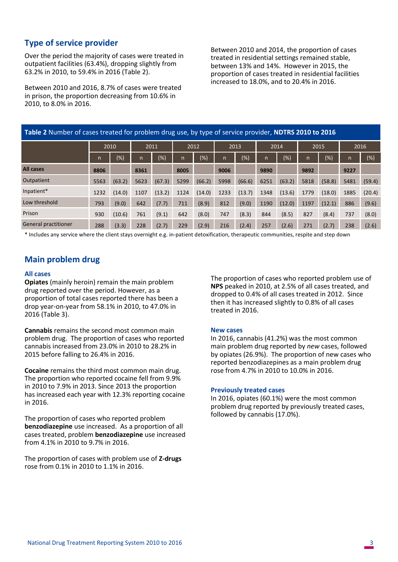## **Type of service provider**

Over the period the majority of cases were treated in outpatient facilities (63.4%), dropping slightly from 63.2% in 2010, to 59.4% in 2016 (Table 2).

Between 2010 and 2016, 8.7% of cases were treated in prison, the proportion decreasing from 10.6% in 2010, to 8.0% in 2016.

Between 2010 and 2014, the proportion of cases treated in residential settings remained stable, between 13% and 14%. However in 2015, the proportion of cases treated in residential facilities increased to 18.0%, and to 20.4% in 2016.

|                      | Table 2 Number of cases treated for problem drug use, by type of service provider, NDTRS 2010 to 2016<br>2010<br>2011<br>2012<br>2013<br>2014<br>2015<br>2016<br>$(\% )$<br>$(\%)$<br>$(\%)$<br>$(\%)$<br>$\overline{(*)}$<br>$(\%)$<br>n<br>$\mathsf{n}$<br>$\mathsf{n}$<br>n<br>n<br>n.<br>n<br>9890<br>9227<br>8806<br>8361<br>8005<br>9006<br>9892<br>(67.3)<br>5998<br>(63.2)<br>5563<br>5623<br>5299<br>(66.2)<br>(66.6)<br>(58.8)<br>5481<br>(63.2)<br>6251<br>5818 |        |      |        |      |        |      |        |      |        |      |        |      |        |  |
|----------------------|----------------------------------------------------------------------------------------------------------------------------------------------------------------------------------------------------------------------------------------------------------------------------------------------------------------------------------------------------------------------------------------------------------------------------------------------------------------------------|--------|------|--------|------|--------|------|--------|------|--------|------|--------|------|--------|--|
|                      |                                                                                                                                                                                                                                                                                                                                                                                                                                                                            |        |      |        |      |        |      |        |      |        |      |        |      |        |  |
|                      |                                                                                                                                                                                                                                                                                                                                                                                                                                                                            |        |      |        |      |        |      |        |      |        |      |        |      | $(\%)$ |  |
| <b>All cases</b>     |                                                                                                                                                                                                                                                                                                                                                                                                                                                                            |        |      |        |      |        |      |        |      |        |      |        |      |        |  |
| Outpatient           |                                                                                                                                                                                                                                                                                                                                                                                                                                                                            |        |      |        |      |        |      |        |      |        |      |        |      | (59.4) |  |
| Inpatient*           | 1232                                                                                                                                                                                                                                                                                                                                                                                                                                                                       | (14.0) | 1107 | (13.2) | 1124 | (14.0) | 1233 | (13.7) | 1348 | (13.6) | 1779 | (18.0) | 1885 | (20.4) |  |
| Low threshold        | 793                                                                                                                                                                                                                                                                                                                                                                                                                                                                        | (9.0)  | 642  | (7.7)  | 711  | (8.9)  | 812  | (9.0)  | 1190 | (12.0) | 1197 | (12.1) | 886  | (9.6)  |  |
| Prison               | 930                                                                                                                                                                                                                                                                                                                                                                                                                                                                        | (10.6) | 761  | (9.1)  | 642  | (8.0)  | 747  | (8.3)  | 844  | (8.5)  | 827  | (8.4)  | 737  | (8.0)  |  |
| General practitioner | 288                                                                                                                                                                                                                                                                                                                                                                                                                                                                        | (3.3)  | 228  | (2.7)  | 229  | (2.9)  | 216  | (2.4)  | 257  | (2.6)  | 271  | (2.7)  | 238  | (2.6)  |  |

\* Includes any service where the client stays overnight e.g. in-patient detoxification, therapeutic communities, respite and step down

## **Main problem drug**

#### **All cases**

**Opiates** (mainly heroin) remain the main problem drug reported over the period. However, as a proportion of total cases reported there has been a drop year-on-year from 58.1% in 2010, to 47.0% in 2016 (Table 3).

**Cannabis** remains the second most common main problem drug. The proportion of cases who reported cannabis increased from 23.0% in 2010 to 28.2% in 2015 before falling to 26.4% in 2016.

**Cocaine** remains the third most common main drug. The proportion who reported cocaine fell from 9.9% in 2010 to 7.9% in 2013. Since 2013 the proportion has increased each year with 12.3% reporting cocaine in 2016.

The proportion of cases who reported problem **benzodiazepine** use increased. As a proportion of all cases treated, problem **benzodiazepine** use increased from 4.1% in 2010 to 9.7% in 2016.

The proportion of cases with problem use of **Z-drugs** rose from 0.1% in 2010 to 1.1% in 2016.

The proportion of cases who reported problem use of **NPS** peaked in 2010, at 2.5% of all cases treated, and dropped to 0.4% of all cases treated in 2012. Since then it has increased slightly to 0.8% of all cases treated in 2016.

#### **New cases**

In 2016, cannabis (41.2%) was the most common main problem drug reported by *new* cases, followed by opiates (26.9%). The proportion of new cases who reported benzodiazepines as a main problem drug rose from 4.7% in 2010 to 10.0% in 2016.

#### **Previously treated cases**

In 2016, opiates (60.1%) were the most common problem drug reported by previously treated cases, followed by cannabis (17.0%).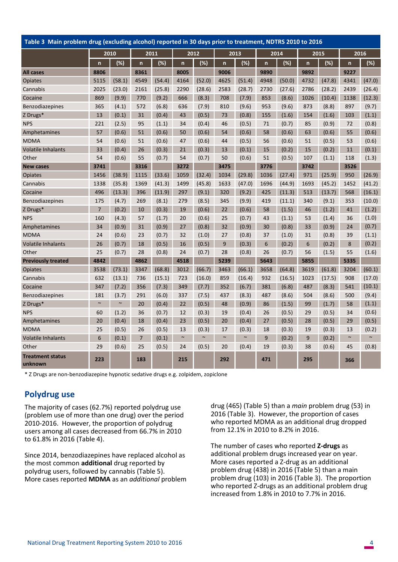| Table 3 Main problem drug (excluding alcohol) reported in 30 days prior to treatment, NDTRS 2010 to 2016 |                |        |                |        |              |        |              |        |              |        |                         |        |              |        |
|----------------------------------------------------------------------------------------------------------|----------------|--------|----------------|--------|--------------|--------|--------------|--------|--------------|--------|-------------------------|--------|--------------|--------|
|                                                                                                          |                | 2010   |                | 2011   |              | 2012   |              | 2013   |              | 2014   |                         | 2015   |              | 2016   |
|                                                                                                          | $\overline{ }$ | (%)    | $\mathsf{n}$   | (%)    | $\mathsf{n}$ | (%)    | $\mathsf{n}$ | (%)    | $\mathsf{n}$ | (%)    | $\overline{\mathsf{n}}$ | (%)    | $\mathsf{n}$ | (%)    |
| <b>All cases</b>                                                                                         | 8806           |        | 8361           |        | 8005         |        | 9006         |        | 9890         |        | 9892                    |        | 9227         |        |
| <b>Opiates</b>                                                                                           | 5115           | (58.1) | 4549           | (54.4) | 4164         | (52.0) | 4625         | (51.4) | 4948         | (50.0) | 4732                    | (47.8) | 4341         | (47.0) |
| Cannabis                                                                                                 | 2025           | (23.0) | 2161           | (25.8) | 2290         | (28.6) | 2583         | (28.7) | 2730         | (27.6) | 2786                    | (28.2) | 2439         | (26.4) |
| Cocaine                                                                                                  | 869            | (9.9)  | 770            | (9.2)  | 666          | (8.3)  | 708          | (7.9)  | 853          | (8.6)  | 1026                    | (10.4) | 1138         | (12.3) |
| <b>Benzodiazepines</b>                                                                                   | 365            | (4.1)  | 572            | (6.8)  | 636          | (7.9)  | 810          | (9.6)  | 953          | (9.6)  | 873                     | (8.8)  | 897          | (9.7)  |
| Z Drugs*                                                                                                 | 13             | (0.1)  | 31             | (0.4)  | 43           | (0.5)  | 73           | (0.8)  | 155          | (1.6)  | 154                     | (1.6)  | 103          | (1.1)  |
| <b>NPS</b>                                                                                               | 221            | (2.5)  | 95             | (1.1)  | 34           | (0.4)  | 46           | (0.5)  | 71           | (0.7)  | 85                      | (0.9)  | 72           | (0.8)  |
| Amphetamines                                                                                             | 57             | (0.6)  | 51             | (0.6)  | 50           | (0.6)  | 54           | (0.6)  | 58           | (0.6)  | 63                      | (0.6)  | 55           | (0.6)  |
| <b>MDMA</b>                                                                                              | 54             | (0.6)  | 51             | (0.6)  | 47           | (0.6)  | 44           | (0.5)  | 56           | (0.6)  | 51                      | (0.5)  | 53           | (0.6)  |
| Volatile Inhalants                                                                                       | 33             | (0.4)  | 26             | (0.3)  | 21           | (0.3)  | 13           | (0.1)  | 15           | (0.2)  | 15                      | (0.2)  | 11           | (0.1)  |
| Other                                                                                                    | 54             | (0.6)  | 55             | (0.7)  | 54           | (0.7)  | 50           | (0.6)  | 51           | (0.5)  | 107                     | (1.1)  | 118          | (1.3)  |
| <b>New cases</b>                                                                                         | 3741           |        | 3316           |        | 3272         |        | 3475         |        | 3776         |        | 3742                    |        | 3526         |        |
| <b>Opiates</b>                                                                                           | 1456           | (38.9) | 1115           | (33.6) | 1059         | (32.4) | 1034         | (29.8) | 1036         | (27.4) | 971                     | (25.9) | 950          | (26.9) |
| Cannabis                                                                                                 | 1338           | (35.8) | 1369           | (41.3) | 1499         | (45.8) | 1633         | (47.0) | 1696         | (44.9) | 1693                    | (45.2) | 1452         | (41.2) |
| Cocaine                                                                                                  | 496            | (13.3) | 396            | (11.9) | 297          | (9.1)  | 320          | (9.2)  | 425          | (11.3) | 513                     | (13.7) | 568          | (16.1) |
| Benzodiazepines                                                                                          | 175            | (4.7)  | 269            | (8.1)  | 279          | (8.5)  | 345          | (9.9)  | 419          | (11.1) | 340                     | (9.1)  | 353          | (10.0) |
| Z Drugs*                                                                                                 | $\overline{7}$ | (0.2)  | 10             | (0.3)  | 19           | (0.6)  | 22           | (0.6)  | 58           | (1.5)  | 46                      | (1.2)  | 41           | (1.2)  |
| <b>NPS</b>                                                                                               | 160            | (4.3)  | 57             | (1.7)  | 20           | (0.6)  | 25           | (0.7)  | 43           | (1.1)  | 53                      | (1.4)  | 36           | (1.0)  |
| Amphetamines                                                                                             | 34             | (0.9)  | 31             | (0.9)  | 27           | (0.8)  | 32           | (0.9)  | 30           | (0.8)  | 33                      | (0.9)  | 24           | (0.7)  |
| <b>MDMA</b>                                                                                              | 24             | (0.6)  | 23             | (0.7)  | 32           | (1.0)  | 27           | (0.8)  | 37           | (1.0)  | 31                      | (0.8)  | 39           | (1.1)  |
| Volatile Inhalants                                                                                       | 26             | (0.7)  | 18             | (0.5)  | 16           | (0.5)  | 9            | (0.3)  | 6            | (0.2)  | 6                       | (0.2)  | 8            | (0.2)  |
| Other                                                                                                    | 25             | (0.7)  | 28             | (0.8)  | 24           | (0.7)  | 28           | (0.8)  | 26           | (0.7)  | 56                      | (1.5)  | 55           | (1.6)  |
| <b>Previously treated</b>                                                                                | 4842           |        | 4862           |        | 4518         |        | 5239         |        | 5643         |        | 5855                    |        | 5335         |        |
| <b>Opiates</b>                                                                                           | 3538           | (73.1) | 3347           | (68.8) | 3012         | (66.7) | 3463         | (66.1) | 3658         | (64.8) | 3619                    | (61.8) | 3204         | (60.1) |
| Cannabis                                                                                                 | 632            | (13.1) | 736            | (15.1) | 723          | (16.0) | 859          | (16.4) | 932          | (16.5) | 1023                    | (17.5) | 908          | (17.0) |
| Cocaine                                                                                                  | 347            | (7.2)  | 356            | (7.3)  | 349          | (7.7)  | 352          | (6.7)  | 381          | (6.8)  | 487                     | (8.3)  | 541          | (10.1) |
| Benzodiazepines                                                                                          | 181            | (3.7)  | 291            | (6.0)  | 337          | (7.5)  | 437          | (8.3)  | 487          | (8.6)  | 504                     | (8.6)  | 500          | (9.4)  |
| Z Drugs*                                                                                                 | $\sim$         | $\sim$ | 20             | (0.4)  | 22           | (0.5)  | 48           | (0.9)  | 86           | (1.5)  | 99                      | (1.7)  | 58           | (1.1)  |
| <b>NPS</b>                                                                                               | 60             | (1.2)  | 36             | (0.7)  | 12           | (0.3)  | 19           | (0.4)  | 26           | (0.5)  | 29                      | (0.5)  | 34           | (0.6)  |
| Amphetamines                                                                                             | 20             | (0.4)  | 18             | (0.4)  | 23           | (0.5)  | 20           | (0.4)  | 27           | (0.5)  | 28                      | (0.5)  | 29           | (0.5)  |
| <b>MDMA</b>                                                                                              | 25             | (0.5)  | 26             | (0.5)  | 13           | (0.3)  | 17           | (0.3)  | 18           | (0.3)  | 19                      | (0.3)  | 13           | (0.2)  |
| <b>Volatile Inhalants</b>                                                                                | 6              | (0.1)  | $\overline{7}$ | (0.1)  | $\sim$       | $\sim$ | $\sim$       | $\sim$ | 9            | (0.2)  | 9                       | (0.2)  | $\sim$       | $\sim$ |
| Other                                                                                                    | 29             | (0.6)  | 25             | (0.5)  | 24           | (0.5)  | 20           | (0.4)  | 19           | (0.3)  | 38                      | (0.6)  | 45           | (0.8)  |
| <b>Treatment status</b><br>unknown                                                                       | 223            |        | 183            |        | 215          |        | 292          |        | 471          |        | 295                     |        | 366          |        |

\* Z Drugs are [non-benzodiazepine](https://en.wikipedia.org/wiki/Nonbenzodiazepine) hypnotic sedative drugs e.g[. zolpidem,](https://en.wikipedia.org/wiki/Zolpidem) [zopiclone](https://en.wikipedia.org/wiki/Zopiclone) 

# **Polydrug use**

The majority of cases (62.7%) reported polydrug use (problem use of more than one drug) over the period 2010-2016. However, the proportion of polydrug users among all cases decreased from 66.7% in 2010 to 61.8% in 2016 (Table 4).

Since 2014, benzodiazepines have replaced alcohol as the most common **additional** drug reported by polydrug users, followed by cannabis (Table 5). More cases reported **MDMA** as an *additional* problem drug (465) (Table 5) than a *main* problem drug (53) in 2016 (Table 3). However, the proportion of cases who reported MDMA as an additional drug dropped from 12.1% in 2010 to 8.2% in 2016.

The number of cases who reported **Z-drugs** as additional problem drugs increased year on year. More cases reported a Z-drug as an additional problem drug (438) in 2016 (Table 5) than a main problem drug (103) in 2016 (Table 3). The proportion who reported Z-drugs as an additional problem drug increased from 1.8% in 2010 to 7.7% in 2016.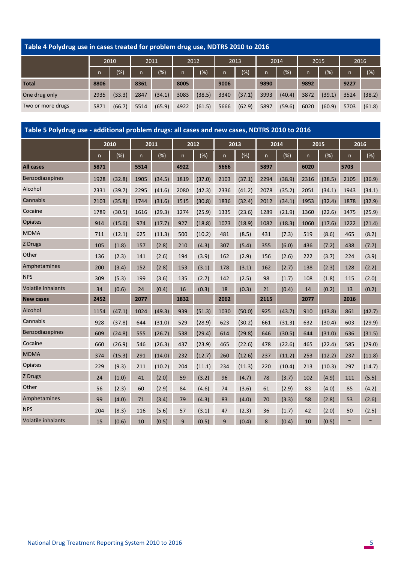## **Table 4 Polydrug use in cases treated for problem drug use, NDTRS 2010 to 2016**

|                   |      |        | 2010 |        | 2011 |        | 2012         |        | 2013 |        | 2014 |        | 2015 |        | 2016 |  |
|-------------------|------|--------|------|--------|------|--------|--------------|--------|------|--------|------|--------|------|--------|------|--|
|                   | n    | (%)    | n.   | (% )   | n    | (%)    | $\mathsf{n}$ | $(\%)$ | n '  | (%)    | n    | (%)    | n    | (%)    |      |  |
| <b>Total</b>      | 8806 |        | 8361 |        | 8005 |        | 9006         |        | 9890 |        | 9892 |        | 9227 |        |      |  |
| One drug only     | 2935 | (33.3) | 2847 | (34.1) | 3083 | (38.5) | 3340         | (37.1) | 3993 | (40.4) | 3872 | (39.1) | 3524 | (38.2) |      |  |
| Two or more drugs | 5871 | (66.7) | 5514 | (65.9) | 4922 | (61.5) | 5666         | (62.9) | 5897 | (59.6) | 6020 | (60.9) | 5703 | (61.8) |      |  |

|                           | Table 5 Polydrug use - additional problem drugs: all cases and new cases, NDTRS 2010 to 2016<br>2010<br>2011<br>2012<br>2013<br>2014<br>2015<br>2016<br>$(\%)$<br>$(\%)$<br>(%)<br>$(\%)$<br>$(\%)$<br>$(\%)$<br>n<br>n<br>$\mathsf{n}$<br>n<br>n<br>n<br>$\mathsf{n}$<br>6020<br>5871<br>5514<br>4922<br>5666<br>5897<br>5703<br>(38.9)<br>1928<br>(32.8)<br>1905<br>(34.5)<br>1819<br>(37.0)<br>(37.1)<br>2294<br>2316<br>(38.5)<br>2105<br>2103<br>2331<br>(39.7)<br>2295<br>(41.6)<br>2080<br>(42.3)<br>2336<br>(41.2)<br>2078<br>(35.2)<br>2051<br>(34.1)<br>1943<br>2103<br>(35.8)<br>(31.6)<br>1836<br>2012<br>(34.1)<br>1953<br>(32.4)<br>1744<br>1515<br>(30.8)<br>(32.4)<br>1878<br>(29.3)<br>1789<br>(30.5)<br>1616<br>1274<br>(25.9)<br>1335<br>(23.6)<br>1289<br>(21.9)<br>1360<br>(22.6)<br>1475<br>914<br>(15.6)<br>974<br>(17.7)<br>927<br>(18.8)<br>(18.9)<br>1082<br>(18.3)<br>1060<br>(17.6)<br>1073<br>1222<br>711<br>(12.1)<br>625<br>(11.3)<br>500<br>(10.2)<br>481<br>(8.5)<br>431<br>(7.3)<br>519<br>(8.6)<br>465<br>(1.8)<br>(2.8)<br>(4.3)<br>(6.0)<br>(7.2)<br>105<br>157<br>210<br>307<br>(5.4)<br>355<br>436<br>438<br>(2.3)<br>(2.6)<br>(3.9)<br>136<br>141<br>194<br>162<br>(2.9)<br>156<br>(2.6)<br>222<br>(3.7)<br>224 |        |      |        |      |        |      |        |      |        |      |        |        |        |
|---------------------------|---------------------------------------------------------------------------------------------------------------------------------------------------------------------------------------------------------------------------------------------------------------------------------------------------------------------------------------------------------------------------------------------------------------------------------------------------------------------------------------------------------------------------------------------------------------------------------------------------------------------------------------------------------------------------------------------------------------------------------------------------------------------------------------------------------------------------------------------------------------------------------------------------------------------------------------------------------------------------------------------------------------------------------------------------------------------------------------------------------------------------------------------------------------------------------------------------------------------------------------------------------|--------|------|--------|------|--------|------|--------|------|--------|------|--------|--------|--------|
|                           |                                                                                                                                                                                                                                                                                                                                                                                                                                                                                                                                                                                                                                                                                                                                                                                                                                                                                                                                                                                                                                                                                                                                                                                                                                                         |        |      |        |      |        |      |        |      |        |      |        |        |        |
|                           |                                                                                                                                                                                                                                                                                                                                                                                                                                                                                                                                                                                                                                                                                                                                                                                                                                                                                                                                                                                                                                                                                                                                                                                                                                                         |        |      |        |      |        |      |        |      |        |      |        |        | (%)    |
| <b>All cases</b>          |                                                                                                                                                                                                                                                                                                                                                                                                                                                                                                                                                                                                                                                                                                                                                                                                                                                                                                                                                                                                                                                                                                                                                                                                                                                         |        |      |        |      |        |      |        |      |        |      |        |        |        |
| Benzodiazepines           |                                                                                                                                                                                                                                                                                                                                                                                                                                                                                                                                                                                                                                                                                                                                                                                                                                                                                                                                                                                                                                                                                                                                                                                                                                                         |        |      |        |      |        |      |        |      |        |      |        |        | (36.9) |
| Alcohol                   |                                                                                                                                                                                                                                                                                                                                                                                                                                                                                                                                                                                                                                                                                                                                                                                                                                                                                                                                                                                                                                                                                                                                                                                                                                                         |        |      |        |      |        |      |        |      |        |      |        |        | (34.1) |
| Cannabis                  |                                                                                                                                                                                                                                                                                                                                                                                                                                                                                                                                                                                                                                                                                                                                                                                                                                                                                                                                                                                                                                                                                                                                                                                                                                                         |        |      |        |      |        |      |        |      |        |      |        |        | (32.9) |
| Cocaine                   |                                                                                                                                                                                                                                                                                                                                                                                                                                                                                                                                                                                                                                                                                                                                                                                                                                                                                                                                                                                                                                                                                                                                                                                                                                                         |        |      |        |      |        |      |        |      |        |      |        |        | (25.9) |
| Opiates                   |                                                                                                                                                                                                                                                                                                                                                                                                                                                                                                                                                                                                                                                                                                                                                                                                                                                                                                                                                                                                                                                                                                                                                                                                                                                         |        |      |        |      |        |      |        |      |        |      |        |        | (21.4) |
| <b>MDMA</b>               |                                                                                                                                                                                                                                                                                                                                                                                                                                                                                                                                                                                                                                                                                                                                                                                                                                                                                                                                                                                                                                                                                                                                                                                                                                                         |        |      |        |      |        |      |        |      |        |      |        |        | (8.2)  |
| Z Drugs                   |                                                                                                                                                                                                                                                                                                                                                                                                                                                                                                                                                                                                                                                                                                                                                                                                                                                                                                                                                                                                                                                                                                                                                                                                                                                         |        |      |        |      |        |      |        |      |        |      |        |        | (7.7)  |
| Other                     |                                                                                                                                                                                                                                                                                                                                                                                                                                                                                                                                                                                                                                                                                                                                                                                                                                                                                                                                                                                                                                                                                                                                                                                                                                                         |        |      |        |      |        |      |        |      |        |      |        |        | (3.9)  |
| Amphetamines              | 200                                                                                                                                                                                                                                                                                                                                                                                                                                                                                                                                                                                                                                                                                                                                                                                                                                                                                                                                                                                                                                                                                                                                                                                                                                                     | (3.4)  | 152  | (2.8)  | 153  | (3.1)  | 178  | (3.1)  | 162  | (2.7)  | 138  | (2.3)  | 128    | (2.2)  |
| <b>NPS</b>                | 309                                                                                                                                                                                                                                                                                                                                                                                                                                                                                                                                                                                                                                                                                                                                                                                                                                                                                                                                                                                                                                                                                                                                                                                                                                                     | (5.3)  | 199  | (3.6)  | 135  | (2.7)  | 142  | (2.5)  | 98   | (1.7)  | 108  | (1.8)  | 115    | (2.0)  |
| Volatile inhalants        | 34                                                                                                                                                                                                                                                                                                                                                                                                                                                                                                                                                                                                                                                                                                                                                                                                                                                                                                                                                                                                                                                                                                                                                                                                                                                      | (0.6)  | 24   | (0.4)  | 16   | (0.3)  | 18   | (0.3)  | 21   | (0.4)  | 14   | (0.2)  | 13     | (0.2)  |
| <b>New cases</b>          | 2452                                                                                                                                                                                                                                                                                                                                                                                                                                                                                                                                                                                                                                                                                                                                                                                                                                                                                                                                                                                                                                                                                                                                                                                                                                                    |        | 2077 |        | 1832 |        | 2062 |        | 2115 |        | 2077 |        | 2016   |        |
| Alcohol                   | 1154                                                                                                                                                                                                                                                                                                                                                                                                                                                                                                                                                                                                                                                                                                                                                                                                                                                                                                                                                                                                                                                                                                                                                                                                                                                    | (47.1) | 1024 | (49.3) | 939  | (51.3) | 1030 | (50.0) | 925  | (43.7) | 910  | (43.8) | 861    | (42.7) |
| Cannabis                  | 928                                                                                                                                                                                                                                                                                                                                                                                                                                                                                                                                                                                                                                                                                                                                                                                                                                                                                                                                                                                                                                                                                                                                                                                                                                                     | (37.8) | 644  | (31.0) | 529  | (28.9) | 623  | (30.2) | 661  | (31.3) | 632  | (30.4) | 603    | (29.9) |
| Benzodiazepines           | 609                                                                                                                                                                                                                                                                                                                                                                                                                                                                                                                                                                                                                                                                                                                                                                                                                                                                                                                                                                                                                                                                                                                                                                                                                                                     | (24.8) | 555  | (26.7) | 538  | (29.4) | 614  | (29.8) | 646  | (30.5) | 644  | (31.0) | 636    | (31.5) |
| Cocaine                   | 660                                                                                                                                                                                                                                                                                                                                                                                                                                                                                                                                                                                                                                                                                                                                                                                                                                                                                                                                                                                                                                                                                                                                                                                                                                                     | (26.9) | 546  | (26.3) | 437  | (23.9) | 465  | (22.6) | 478  | (22.6) | 465  | (22.4) | 585    | (29.0) |
| <b>MDMA</b>               | 374                                                                                                                                                                                                                                                                                                                                                                                                                                                                                                                                                                                                                                                                                                                                                                                                                                                                                                                                                                                                                                                                                                                                                                                                                                                     | (15.3) | 291  | (14.0) | 232  | (12.7) | 260  | (12.6) | 237  | (11.2) | 253  | (12.2) | 237    | (11.8) |
| <b>Opiates</b>            | 229                                                                                                                                                                                                                                                                                                                                                                                                                                                                                                                                                                                                                                                                                                                                                                                                                                                                                                                                                                                                                                                                                                                                                                                                                                                     | (9.3)  | 211  | (10.2) | 204  | (11.1) | 234  | (11.3) | 220  | (10.4) | 213  | (10.3) | 297    | (14.7) |
| Z Drugs                   | 24                                                                                                                                                                                                                                                                                                                                                                                                                                                                                                                                                                                                                                                                                                                                                                                                                                                                                                                                                                                                                                                                                                                                                                                                                                                      | (1.0)  | 41   | (2.0)  | 59   | (3.2)  | 96   | (4.7)  | 78   | (3.7)  | 102  | (4.9)  | 111    | (5.5)  |
| Other                     | 56                                                                                                                                                                                                                                                                                                                                                                                                                                                                                                                                                                                                                                                                                                                                                                                                                                                                                                                                                                                                                                                                                                                                                                                                                                                      | (2.3)  | 60   | (2.9)  | 84   | (4.6)  | 74   | (3.6)  | 61   | (2.9)  | 83   | (4.0)  | 85     | (4.2)  |
| Amphetamines              | 99                                                                                                                                                                                                                                                                                                                                                                                                                                                                                                                                                                                                                                                                                                                                                                                                                                                                                                                                                                                                                                                                                                                                                                                                                                                      | (4.0)  | 71   | (3.4)  | 79   | (4.3)  | 83   | (4.0)  | 70   | (3.3)  | 58   | (2.8)  | 53     | (2.6)  |
| <b>NPS</b>                | 204                                                                                                                                                                                                                                                                                                                                                                                                                                                                                                                                                                                                                                                                                                                                                                                                                                                                                                                                                                                                                                                                                                                                                                                                                                                     | (8.3)  | 116  | (5.6)  | 57   | (3.1)  | 47   | (2.3)  | 36   | (1.7)  | 42   | (2.0)  | 50     | (2.5)  |
| <b>Volatile inhalants</b> | 15                                                                                                                                                                                                                                                                                                                                                                                                                                                                                                                                                                                                                                                                                                                                                                                                                                                                                                                                                                                                                                                                                                                                                                                                                                                      | (0.6)  | 10   | (0.5)  | 9    | (0.5)  | 9    | (0.4)  | 8    | (0.4)  | 10   | (0.5)  | $\sim$ |        |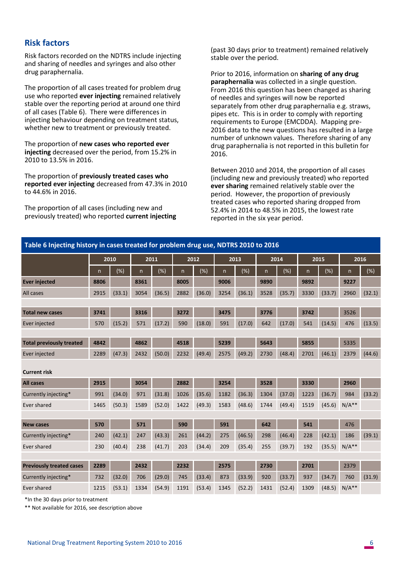## **Risk factors**

Risk factors recorded on the NDTRS include injecting and sharing of needles and syringes and also other drug paraphernalia.

The proportion of all cases treated for problem drug use who reported **ever injecting** remained relatively stable over the reporting period at around one third of all cases (Table 6). There were differences in injecting behaviour depending on treatment status, whether new to treatment or previously treated.

The proportion of **new cases who reported ever injecting** decreased over the period, from 15.2% in 2010 to 13.5% in 2016.

The proportion of **previously treated cases who reported ever injecting** decreased from 47.3% in 2010 to 44.6% in 2016.

The proportion of all cases (including new and previously treated) who reported **current injecting**

(past 30 days prior to treatment) remained relatively stable over the period.

Prior to 2016, information on **sharing of any drug paraphernalia** was collected in a single question. From 2016 this question has been changed as sharing of needles and syringes will now be reported separately from other drug paraphernalia e.g. straws, pipes etc. This is in order to comply with reporting requirements to Europe (EMCDDA). Mapping pre-2016 data to the new questions has resulted in a large number of unknown values. Therefore sharing of any drug paraphernalia is not reported in this bulletin for 2016.

Between 2010 and 2014, the proportion of all cases (including new and previously treated) who reported **ever sharing** remained relatively stable over the period. However, the proportion of previously treated cases who reported sharing dropped from 52.4% in 2014 to 48.5% in 2015, the lowest rate reported in the six year period.

| Table 6 Injecting history in cases treated for problem drug use, NDTRS 2010 to 2016 |      |        |      |        |      |        |              |        |      |        |      |        |         |        |
|-------------------------------------------------------------------------------------|------|--------|------|--------|------|--------|--------------|--------|------|--------|------|--------|---------|--------|
|                                                                                     |      | 2010   |      | 2011   |      | 2012   |              | 2013   |      | 2014   |      | 2015   |         | 2016   |
|                                                                                     | n    | $(\%)$ | n    | $(\%)$ | n    | $(\%)$ | $\mathsf{n}$ | $(\%)$ | n    | $(\%)$ | n    | $(\%)$ | n       | $(\%)$ |
| <b>Ever injected</b>                                                                | 8806 |        | 8361 |        | 8005 |        | 9006         |        | 9890 |        | 9892 |        | 9227    |        |
| All cases                                                                           | 2915 | (33.1) | 3054 | (36.5) | 2882 | (36.0) | 3254         | (36.1) | 3528 | (35.7) | 3330 | (33.7) | 2960    | (32.1) |
|                                                                                     |      |        |      |        |      |        |              |        |      |        |      |        |         |        |
| <b>Total new cases</b>                                                              | 3741 |        | 3316 |        | 3272 |        | 3475         |        | 3776 |        | 3742 |        | 3526    |        |
| Ever injected                                                                       | 570  | (15.2) | 571  | (17.2) | 590  | (18.0) | 591          | (17.0) | 642  | (17.0) | 541  | (14.5) | 476     | (13.5) |
|                                                                                     |      |        |      |        |      |        |              |        |      |        |      |        |         |        |
| <b>Total previously treated</b>                                                     | 4842 |        | 4862 |        | 4518 |        | 5239         |        | 5643 |        | 5855 |        | 5335    |        |
| Ever injected                                                                       | 2289 | (47.3) | 2432 | (50.0) | 2232 | (49.4) | 2575         | (49.2) | 2730 | (48.4) | 2701 | (46.1) | 2379    | (44.6) |
| <b>Current risk</b>                                                                 |      |        |      |        |      |        |              |        |      |        |      |        |         |        |
| <b>All cases</b>                                                                    | 2915 |        | 3054 |        | 2882 |        | 3254         |        | 3528 |        | 3330 |        | 2960    |        |
| Currently injecting*                                                                | 991  | (34.0) | 971  | (31.8) | 1026 | (35.6) | 1182         | (36.3) | 1304 | (37.0) | 1223 | (36.7) | 984     | (33.2) |
| Ever shared                                                                         | 1465 | (50.3) | 1589 | (52.0) | 1422 | (49.3) | 1583         | (48.6) | 1744 | (49.4) | 1519 | (45.6) | $N/A**$ |        |
|                                                                                     |      |        |      |        |      |        |              |        |      |        |      |        |         |        |
| <b>New cases</b>                                                                    | 570  |        | 571  |        | 590  |        | 591          |        | 642  |        | 541  |        | 476     |        |
| Currently injecting*                                                                | 240  | (42.1) | 247  | (43.3) | 261  | (44.2) | 275          | (46.5) | 298  | (46.4) | 228  | (42.1) | 186     | (39.1) |
| Ever shared                                                                         | 230  | (40.4) | 238  | (41.7) | 203  | (34.4) | 209          | (35.4) | 255  | (39.7) | 192  | (35.5) | $N/A**$ |        |
|                                                                                     |      |        |      |        |      |        |              |        |      |        |      |        |         |        |
| <b>Previously treated cases</b>                                                     | 2289 |        | 2432 |        | 2232 |        | 2575         |        | 2730 |        | 2701 |        | 2379    |        |
| Currently injecting*                                                                | 732  | (32.0) | 706  | (29.0) | 745  | (33.4) | 873          | (33.9) | 920  | (33.7) | 937  | (34.7) | 760     | (31.9) |
| Ever shared                                                                         | 1215 | (53.1) | 1334 | (54.9) | 1191 | (53.4) | 1345         | (52.2) | 1431 | (52.4) | 1309 | (48.5) | $N/A**$ |        |

\*In the 30 days prior to treatment

\*\* Not available for 2016, see description above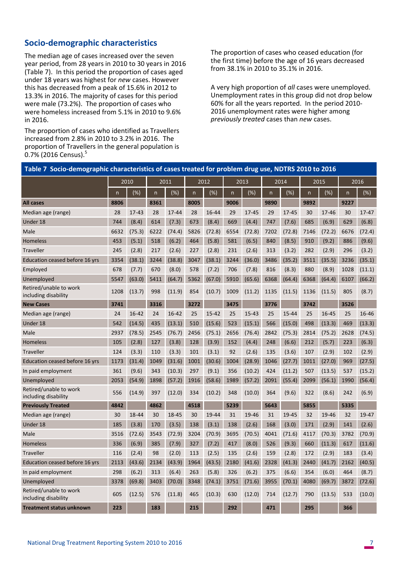## **Socio-demographic characteristics**

The median age of cases increased over the seven year period, from 28 years in 2010 to 30 years in 2016 (Table 7). In this period the proportion of cases aged under 18 years was highest for *new* cases. However this has decreased from a peak of 15.6% in 2012 to 13.3% in 2016. The majority of cases for this period were male (73.2%). The proportion of cases who were homeless increased from 5.1% in 2010 to 9.6% in 2016.

The proportion of cases who identified as Travellers increased from 2.8% in 2010 to 3.2% in 2016. The proportion of Travellers in the general population is 0.7% (2016 Census).<sup>5</sup>

The proportion of cases who ceased education (for the first time) before the age of 16 years decreased from 38.1% in 2010 to 35.1% in 2016.

A very high proportion of *all* cases were unemployed. Unemployment rates in this group did not drop below 60% for all the years reported. In the period 2010- 2016 unemployment rates were higher among *previously treated* cases than *new* cases.

| Table 7 Socio-demographic characteristics of cases treated for problem drug use, NDTRS 2010 to 2016 |      |           |              |           |                |           |              |           |      |        |              |        |      |           |
|-----------------------------------------------------------------------------------------------------|------|-----------|--------------|-----------|----------------|-----------|--------------|-----------|------|--------|--------------|--------|------|-----------|
|                                                                                                     |      | 2010      |              | 2011      |                | 2012      |              | 2013      |      | 2014   |              | 2015   |      | 2016      |
|                                                                                                     | n    | $(\%)$    | $\mathsf{n}$ | $(\%)$    | $\overline{n}$ | $(\%)$    | $\mathsf{n}$ | $(\% )$   | n    | (%)    | $\mathsf{n}$ | $(\%)$ | n.   | (%)       |
| <b>All cases</b>                                                                                    | 8806 |           | 8361         |           | 8005           |           | 9006         |           | 9890 |        | 9892         |        | 9227 |           |
| Median age (range)                                                                                  | 28   | $17 - 43$ | 28           | $17 - 44$ | 28             | 16-44     | 29           | $17 - 45$ | 29   | 17-45  | 30           | 17-46  | 30   | $17 - 47$ |
| Under 18                                                                                            | 744  | (8.4)     | 614          | (7.3)     | 673            | (8.4)     | 669          | (4.4)     | 747  | (7.6)  | 685          | (6.9)  | 629  | (6.8)     |
| Male                                                                                                | 6632 | (75.3)    | 6222         | (74.4)    | 5826           | (72.8)    | 6554         | (72.8)    | 7202 | (72.8) | 7146         | (72.2) | 6676 | (72.4)    |
| <b>Homeless</b>                                                                                     | 453  | (5.1)     | 518          | (6.2)     | 464            | (5.8)     | 581          | (6.5)     | 840  | (8.5)  | 910          | (9.2)  | 886  | (9.6)     |
| <b>Traveller</b>                                                                                    | 245  | (2.8)     | 217          | (2.6)     | 227            | (2.8)     | 231          | (2.6)     | 313  | (3.2)  | 282          | (2.9)  | 296  | (3.2)     |
| Education ceased before 16 yrs                                                                      | 3354 | (38.1)    | 3244         | (38.8)    | 3047           | (38.1)    | 3244         | (36.0)    | 3486 | (35.2) | 3511         | (35.5) | 3236 | (35.1)    |
| Employed                                                                                            | 678  | (7.7)     | 670          | (8.0)     | 578            | (7.2)     | 706          | (7.8)     | 816  | (8.3)  | 880          | (8.9)  | 1028 | (11.1)    |
| Unemployed                                                                                          | 5547 | (63.0)    | 5411         | (64.7)    | 5362           | (67.0)    | 5910         | (65.6)    | 6368 | (64.4) | 6368         | (64.4) | 6107 | (66.2)    |
| Retired/unable to work<br>including disability                                                      | 1208 | (13.7)    | 998          | (11.9)    | 854            | (10.7)    | 1009         | (11.2)    | 1135 | (11.5) | 1136         | (11.5) | 805  | (8.7)     |
| <b>New Cases</b>                                                                                    | 3741 |           | 3316         |           | 3272           |           | 3475         |           | 3776 |        | 3742         |        | 3526 |           |
| Median age (range)                                                                                  | 24   | 16-42     | 24           | $16 - 42$ | 25             | $15 - 42$ | 25           | $15 - 43$ | 25   | 15-44  | 25           | 16-45  | 25   | 16-46     |
| Under 18                                                                                            | 542  | (14.5)    | 435          | (13.1)    | 510            | (15.6)    | 523          | (15.1)    | 566  | (15.0) | 498          | (13.3) | 469  | (13.3)    |
| Male                                                                                                | 2937 | (78.5)    | 2545         | (76.7)    | 2456           | (75.1)    | 2656         | (76.4)    | 2842 | (75.3) | 2814         | (75.2) | 2628 | (74.5)    |
| <b>Homeless</b>                                                                                     | 105  | (2.8)     | 127          | (3.8)     | 128            | (3.9)     | 152          | (4.4)     | 248  | (6.6)  | 212          | (5.7)  | 223  | (6.3)     |
| <b>Traveller</b>                                                                                    | 124  | (3.3)     | 110          | (3.3)     | 101            | (3.1)     | 92           | (2.6)     | 135  | (3.6)  | 107          | (2.9)  | 102  | (2.9)     |
| Education ceased before 16 yrs                                                                      | 1173 | (31.4)    | 1049         | (31.6)    | 1001           | (30.6)    | 1004         | (28.9)    | 1046 | (27.7) | 1011         | (27.0) | 969  | (27.5)    |
| In paid employment                                                                                  | 361  | (9.6)     | 343          | (10.3)    | 297            | (9.1)     | 356          | (10.2)    | 424  | (11.2) | 507          | (13.5) | 537  | (15.2)    |
| Unemployed                                                                                          | 2053 | (54.9)    | 1898         | (57.2)    | 1916           | (58.6)    | 1989         | (57.2)    | 2091 | (55.4) | 2099         | (56.1) | 1990 | (56.4)    |
| Retired/unable to work<br>including disability                                                      | 556  | (14.9)    | 397          | (12.0)    | 334            | (10.2)    | 348          | (10.0)    | 364  | (9.6)  | 322          | (8.6)  | 242  | (6.9)     |
| <b>Previously Treated</b>                                                                           | 4842 |           | 4862         |           | 4518           |           | 5239         |           | 5643 |        | 5855         |        | 5335 |           |
| Median age (range)                                                                                  | 30   | 18-44     | 30           | 18-45     | 30             | 19-44     | 31           | 19-46     | 31   | 19-45  | 32           | 19-46  | 32   | 19-47     |
| Under 18                                                                                            | 185  | (3.8)     | 170          | (3.5)     | 138            | (3.1)     | 138          | (2.6)     | 168  | (3.0)  | 171          | (2.9)  | 141  | (2.6)     |
| Male                                                                                                | 3516 | (72.6)    | 3543         | (72.9)    | 3204           | (70.9)    | 3695         | (70.5)    | 4041 | (71.6) | 4117         | (70.3) | 3782 | (70.9)    |
| <b>Homeless</b>                                                                                     | 336  | (6.9)     | 385          | (7.9)     | 327            | (7.2)     | 417          | (8.0)     | 526  | (9.3)  | 660          | (11.3) | 617  | (11.6)    |
| <b>Traveller</b>                                                                                    | 116  | (2.4)     | 98           | (2.0)     | 113            | (2.5)     | 135          | (2.6)     | 159  | (2.8)  | 172          | (2.9)  | 183  | (3.4)     |
| Education ceased before 16 yrs                                                                      | 2113 | (43.6)    | 2134         | (43.9)    | 1964           | (43.5)    | 2180         | (41.6)    | 2328 | (41.3) | 2440         | (41.7) | 2162 | (40.5)    |
| In paid employment                                                                                  | 298  | (6.2)     | 313          | (6.4)     | 263            | (5.8)     | 326          | (6.2)     | 375  | (6.6)  | 354          | (6.0)  | 464  | (8.7)     |
| Unemployed                                                                                          | 3378 | (69.8)    | 3403         | (70.0)    | 3348           | (74.1)    | 3751         | (71.6)    | 3955 | (70.1) | 4080         | (69.7) | 3872 | (72.6)    |
| Retired/unable to work<br>including disability                                                      | 605  | (12.5)    | 576          | (11.8)    | 465            | (10.3)    | 630          | (12.0)    | 714  | (12.7) | 790          | (13.5) | 533  | (10.0)    |
| <b>Treatment status unknown</b>                                                                     | 223  |           | 183          |           | 215            |           | 292          |           | 471  |        | 295          |        | 366  |           |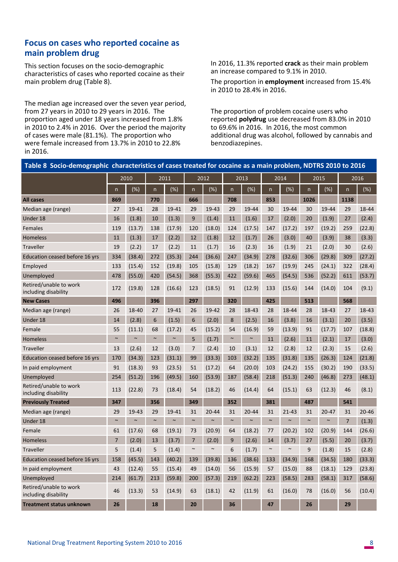## **Focus on cases who reported cocaine as main problem drug**

This section focuses on the socio-demographic characteristics of cases who reported cocaine as their main problem drug (Table 8).

The median age increased over the seven year period, from 27 years in 2010 to 29 years in 2016. The proportion aged under 18 years increased from 1.8% in 2010 to 2.4% in 2016. Over the period the majority of cases were male (81.1%). The proportion who were female increased from 13.7% in 2010 to 22.8% in 2016.

In 2016, 11.3% reported **crack** as their main problem an increase compared to 9.1% in 2010.

The proportion in **employment** increased from 15.4% in 2010 to 28.4% in 2016.

The proportion of problem cocaine users who reported **polydrug** use decreased from 83.0% in 2010 to 69.6% in 2016. In 2016, the most common additional drug was alcohol, followed by cannabis and benzodiazepines.

| Table 8 Socio-demographic characteristics of cases treated for cocaine as a main problem, NDTRS 2010 to 2016 |                |        |              |        |                         |           |        |           |                         |           |              |           |                |           |
|--------------------------------------------------------------------------------------------------------------|----------------|--------|--------------|--------|-------------------------|-----------|--------|-----------|-------------------------|-----------|--------------|-----------|----------------|-----------|
|                                                                                                              |                | 2010   |              | 2011   |                         | 2012      |        | 2013      |                         | 2014      |              | 2015      |                | 2016      |
|                                                                                                              | n              | (%)    | $\mathsf{n}$ | $(\%)$ | $\overline{\mathsf{n}}$ | (%)       | n      | $(\%)$    | $\overline{\mathsf{n}}$ | $(\% )$   | $\mathsf{n}$ | $(\%)$    | n              | $(\%)$    |
| <b>All cases</b>                                                                                             | 869            |        | 770          |        | 666                     |           | 708    |           | 853                     |           | 1026         |           | 1138           |           |
| Median age (range)                                                                                           | 27             | 19-41  | 28           | 19-41  | 29                      | 19-43     | 29     | 19-44     | 30                      | 19-44     | 30           | 19-44     | 29             | 18-44     |
| Under 18                                                                                                     | 16             | (1.8)  | 10           | (1.3)  | 9                       | (1.4)     | 11     | (1.6)     | 17                      | (2.0)     | 20           | (1.9)     | 27             | (2.4)     |
| Females                                                                                                      | 119            | (13.7) | 138          | (17.9) | 120                     | (18.0)    | 124    | (17.5)    | 147                     | (17.2)    | 197          | (19.2)    | 259            | (22.8)    |
| Homeless                                                                                                     | 11             | (1.3)  | 17           | (2.2)  | 12                      | (1.8)     | 12     | (1.7)     | 26                      | (3.0)     | 40           | (3.9)     | 38             | (3.3)     |
| Traveller                                                                                                    | 19             | (2.2)  | 17           | (2.2)  | 11                      | (1.7)     | 16     | (2.3)     | 16                      | (1.9)     | 21           | (2.0)     | 30             | (2.6)     |
| Education ceased before 16 yrs                                                                               | 334            | (38.4) | 272          | (35.3) | 244                     | (36.6)    | 247    | (34.9)    | 278                     | (32.6)    | 306          | (29.8)    | 309            | (27.2)    |
| Employed                                                                                                     | 133            | (15.4) | 152          | (19.8) | 105                     | (15.8)    | 129    | (18.2)    | 167                     | (19.9)    | 245          | (24.1)    | 322            | (28.4)    |
| Unemployed                                                                                                   | 478            | (55.0) | 420          | (54.5) | 368                     | (55.3)    | 422    | (59.6)    | 465                     | (54.5)    | 536          | (52.2)    | 611            | (53.7)    |
| Retired/unable to work<br>including disability                                                               | 172            | (19.8) | 128          | (16.6) | 123                     | (18.5)    | 91     | (12.9)    | 133                     | (15.6)    | 144          | (14.0)    | 104            | (9.1)     |
| <b>New Cases</b>                                                                                             | 496            |        | 396          |        | 297                     |           | 320    |           | 425                     |           | 513          |           | 568            |           |
| Median age (range)                                                                                           | 26             | 18-40  | 27           | 19-41  | 26                      | 19-42     | 28     | 18-43     | 28                      | 18-44     | 28           | 18-43     | 27             | 18-43     |
| Under 18                                                                                                     | 14             | (2.8)  | 6            | (1.5)  | 6                       | (2.0)     | 8      | (2.5)     | 16                      | (3.8)     | 16           | (3.1)     | 20             | (3.5)     |
| Female                                                                                                       | 55             | (11.1) | 68           | (17.2) | 45                      | (15.2)    | 54     | (16.9)    | 59                      | (13.9)    | 91           | (17.7)    | 107            | (18.8)    |
| Homeless                                                                                                     | $\sim$         | $\sim$ | $\sim$       | $\sim$ | 5                       | (1.7)     | $\sim$ | $\sim$    | 11                      | (2.6)     | 11           | (2.1)     | 17             | (3.0)     |
| Traveller                                                                                                    | 13             | (2.6)  | 12           | (3.0)  | $\overline{7}$          | (2.4)     | 10     | (3.1)     | 12                      | (2.8)     | 12           | (2.3)     | 15             | (2.6)     |
| Education ceased before 16 yrs                                                                               | 170            | (34.3) | 123          | (31.1) | 99                      | (33.3)    | 103    | (32.2)    | 135                     | (31.8)    | 135          | (26.3)    | 124            | (21.8)    |
| In paid employment                                                                                           | 91             | (18.3) | 93           | (23.5) | 51                      | (17.2)    | 64     | (20.0)    | 103                     | (24.2)    | 155          | (30.2)    | 190            | (33.5)    |
| Unemployed                                                                                                   | 254            | (51.2) | 196          | (49.5) | 160                     | (53.9)    | 187    | (58.4)    | 218                     | (51.3)    | 240          | (46.8)    | 273            | (48.1)    |
| Retired/unable to work<br>including disability                                                               | 113            | (22.8) | 73           | (18.4) | 54                      | (18.2)    | 46     | (14.4)    | 64                      | (15.1)    | 63           | (12.3)    | 46             | (8.1)     |
| <b>Previously Treated</b>                                                                                    | 347            |        | 356          |        | 349                     |           | 352    |           | 381                     |           | 487          |           | 541            |           |
| Median age (range)                                                                                           | 29             | 19-43  | 29           | 19-41  | 31                      | $20 - 44$ | 31     | $20 - 44$ | 31                      | $21 - 43$ | 31           | $20 - 47$ | 31             | $20 - 46$ |
| Under 18                                                                                                     | $\sim$         | $\sim$ | $\sim$       | $\sim$ | $\sim$                  | $\sim$    | $\sim$ | $\sim$    | $\sim$                  | $\sim$    | $\sim$       | $\sim$    | $\overline{7}$ | (1.3)     |
| Female                                                                                                       | 61             | (17.6) | 68           | (19.1) | 73                      | (20.9)    | 64     | (18.2)    | 77                      | (20.2)    | 102          | (20.9)    | 144            | (26.6)    |
| Homeless                                                                                                     | $\overline{7}$ | (2.0)  | 13           | (3.7)  | $\overline{7}$          | (2.0)     | 9      | (2.6)     | 14                      | (3.7)     | 27           | (5.5)     | 20             | (3.7)     |
| Traveller                                                                                                    | 5              | (1.4)  | 5            | (1.4)  | $\sim$                  | $\sim$    | 6      | (1.7)     | $\sim$                  | $\sim$    | 9            | (1.8)     | 15             | (2.8)     |
| Education ceased before 16 yrs                                                                               | 158            | (45.5) | 143          | (40.2) | 139                     | (39.8)    | 136    | (38.6)    | 133                     | (34.9)    | 168          | (34.5)    | 180            | (33.3)    |
| In paid employment                                                                                           | 43             | (12.4) | 55           | (15.4) | 49                      | (14.0)    | 56     | (15.9)    | 57                      | (15.0)    | 88           | (18.1)    | 129            | (23.8)    |
| Unemployed                                                                                                   | 214            | (61.7) | 213          | (59.8) | 200                     | (57.3)    | 219    | (62.2)    | 223                     | (58.5)    | 283          | (58.1)    | 317            | (58.6)    |
| Retired/unable to work<br>including disability                                                               | 46             | (13.3) | 53           | (14.9) | 63                      | (18.1)    | 42     | (11.9)    | 61                      | (16.0)    | 78           | (16.0)    | 56             | (10.4)    |
| <b>Treatment status unknown</b>                                                                              | 26             |        | 18           |        | 20                      |           | 36     |           | 47                      |           | 26           |           | 29             |           |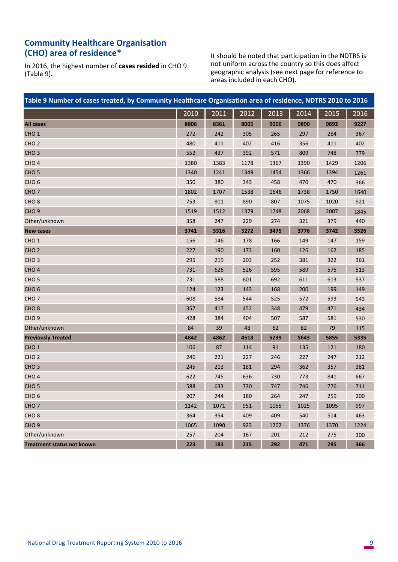## **Community Healthcare Organisation (CHO) area of residence\***

In 2016, the highest number of **cases resided** in CHO 9  $(Table 9)$ .

It should be noted that participation in the NDTRS is not uniform across the country so this does affect geographic analysis (see next page for reference to areas included in each CHO).

| Table 9 Number of cases treated, by Community Healthcare Organisation area of residence, NDTRS 2010 to 2016 |      |      |      |      |      |      |      |
|-------------------------------------------------------------------------------------------------------------|------|------|------|------|------|------|------|
|                                                                                                             | 2010 | 2011 | 2012 | 2013 | 2014 | 2015 | 2016 |
| <b>All cases</b>                                                                                            | 8806 | 8361 | 8005 | 9006 | 9890 | 9892 | 9227 |
| CHO <sub>1</sub>                                                                                            | 272  | 242  | 305  | 265  | 297  | 284  | 367  |
| CHO <sub>2</sub>                                                                                            | 480  | 411  | 402  | 416  | 356  | 411  | 402  |
| CHO <sub>3</sub>                                                                                            | 552  | 437  | 392  | 571  | 809  | 748  | 779  |
| CHO <sub>4</sub>                                                                                            | 1380 | 1383 | 1178 | 1367 | 1390 | 1429 | 1206 |
| CHO <sub>5</sub>                                                                                            | 1340 | 1241 | 1349 | 1454 | 1366 | 1394 | 1261 |
| CHO <sub>6</sub>                                                                                            | 350  | 380  | 343  | 458  | 470  | 470  | 366  |
| CHO <sub>7</sub>                                                                                            | 1802 | 1707 | 1538 | 1646 | 1738 | 1750 | 1640 |
| CHO <sub>8</sub>                                                                                            | 753  | 801  | 890  | 807  | 1075 | 1020 | 921  |
| CHO <sub>9</sub>                                                                                            | 1519 | 1512 | 1379 | 1748 | 2068 | 2007 | 1845 |
| Other/unknown                                                                                               | 358  | 247  | 229  | 274  | 321  | 379  | 440  |
| <b>New cases</b>                                                                                            | 3741 | 3316 | 3272 | 3475 | 3776 | 3742 | 3526 |
| CHO <sub>1</sub>                                                                                            | 156  | 146  | 178  | 166  | 149  | 147  | 159  |
| CHO <sub>2</sub>                                                                                            | 227  | 190  | 173  | 160  | 126  | 162  | 185  |
| CHO <sub>3</sub>                                                                                            | 295  | 219  | 203  | 252  | 381  | 322  | 361  |
| CHO <sub>4</sub>                                                                                            | 731  | 626  | 526  | 595  | 589  | 575  | 513  |
| CHO <sub>5</sub>                                                                                            | 731  | 588  | 601  | 692  | 611  | 613  | 537  |
| CHO <sub>6</sub>                                                                                            | 124  | 123  | 143  | 168  | 200  | 199  | 149  |
| CHO <sub>7</sub>                                                                                            | 608  | 584  | 544  | 525  | 572  | 593  | 543  |
| CHO <sub>8</sub>                                                                                            | 357  | 417  | 452  | 348  | 479  | 471  | 434  |
| CHO <sub>9</sub>                                                                                            | 428  | 384  | 404  | 507  | 587  | 581  | 530  |
| Other/unknown                                                                                               | 84   | 39   | 48   | 62   | 82   | 79   | 115  |
| <b>Previously Treated</b>                                                                                   | 4842 | 4862 | 4518 | 5239 | 5643 | 5855 | 5335 |
| CHO <sub>1</sub>                                                                                            | 106  | 87   | 114  | 91   | 135  | 121  | 180  |
| CHO <sub>2</sub>                                                                                            | 246  | 221  | 227  | 246  | 227  | 247  | 212  |
| CHO <sub>3</sub>                                                                                            | 245  | 213  | 181  | 294  | 362  | 357  | 381  |
| CHO <sub>4</sub>                                                                                            | 622  | 745  | 636  | 730  | 773  | 841  | 667  |
| CHO <sub>5</sub>                                                                                            | 588  | 633  | 730  | 747  | 746  | 776  | 711  |
| CHO <sub>6</sub>                                                                                            | 207  | 244  | 180  | 264  | 247  | 259  | 200  |
| CHO <sub>7</sub>                                                                                            | 1142 | 1071 | 951  | 1055 | 1025 | 1095 | 997  |
| CHO <sub>8</sub>                                                                                            | 364  | 354  | 409  | 409  | 540  | 514  | 463  |
| CHO <sub>9</sub>                                                                                            | 1065 | 1090 | 923  | 1202 | 1376 | 1370 | 1224 |
| Other/unknown                                                                                               | 257  | 204  | 167  | 201  | 212  | 275  | 300  |
| <b>Treatment status not known</b>                                                                           | 223  | 183  | 215  | 292  | 471  | 295  | 366  |